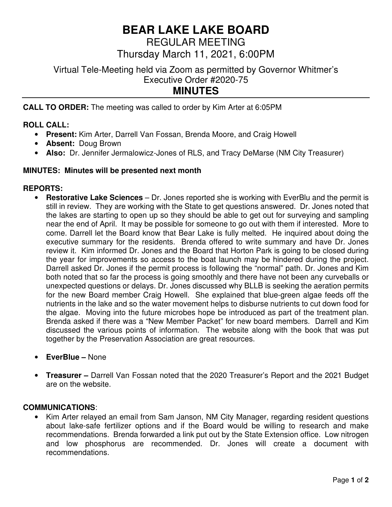# **BEAR LAKE LAKE BOARD**

REGULAR MEETING Thursday March 11, 2021, 6:00PM

Virtual Tele-Meeting held via Zoom as permitted by Governor Whitmer's Executive Order #2020-75 **MINUTES** 

**CALL TO ORDER:** The meeting was called to order by Kim Arter at 6:05PM

## **ROLL CALL:**

- **Present:** Kim Arter, Darrell Van Fossan, Brenda Moore, and Craig Howell
- **Absent:** Doug Brown
- **Also:** Dr. Jennifer Jermalowicz-Jones of RLS, and Tracy DeMarse (NM City Treasurer)

## **MINUTES: Minutes will be presented next month**

## **REPORTS:**

- **Restorative Lake Sciences** Dr. Jones reported she is working with EverBlu and the permit is still in review. They are working with the State to get questions answered. Dr. Jones noted that the lakes are starting to open up so they should be able to get out for surveying and sampling near the end of April. It may be possible for someone to go out with them if interested. More to come. Darrell let the Board know that Bear Lake is fully melted. He inquired about doing the executive summary for the residents. Brenda offered to write summary and have Dr. Jones review it. Kim informed Dr. Jones and the Board that Horton Park is going to be closed during the year for improvements so access to the boat launch may be hindered during the project. Darrell asked Dr. Jones if the permit process is following the "normal" path. Dr. Jones and Kim both noted that so far the process is going smoothly and there have not been any curveballs or unexpected questions or delays. Dr. Jones discussed why BLLB is seeking the aeration permits for the new Board member Craig Howell. She explained that blue-green algae feeds off the nutrients in the lake and so the water movement helps to disburse nutrients to cut down food for the algae. Moving into the future microbes hope be introduced as part of the treatment plan. Brenda asked if there was a "New Member Packet" for new board members. Darrell and Kim discussed the various points of information. The website along with the book that was put together by the Preservation Association are great resources.
- **EverBlue** None
- **Treasurer** Darrell Van Fossan noted that the 2020 Treasurer's Report and the 2021 Budget are on the website.

#### **COMMUNICATIONS**:

• Kim Arter relayed an email from Sam Janson, NM City Manager, regarding resident questions about lake-safe fertilizer options and if the Board would be willing to research and make recommendations. Brenda forwarded a link put out by the State Extension office. Low nitrogen and low phosphorus are recommended. Dr. Jones will create a document with recommendations.